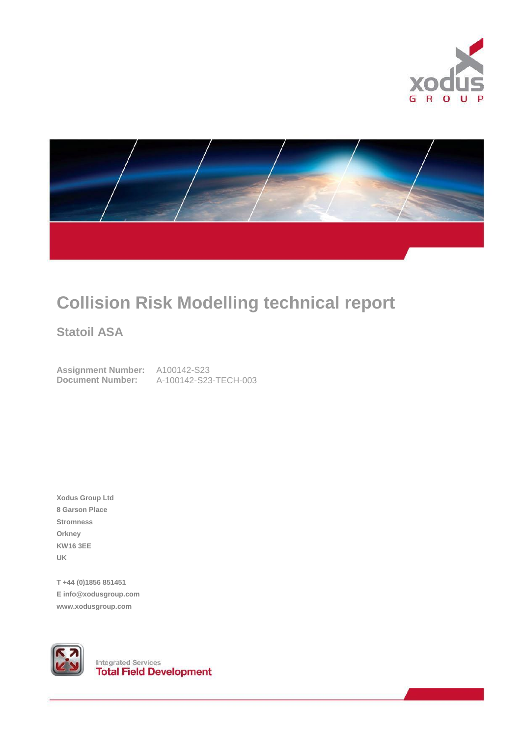



# **Collision Risk Modelling technical report**

**Statoil ASA**

**Assignment Number:** A100142-S23

**Document Number:** A-100142-S23-TECH-003

**Xodus Group Ltd 8 Garson Place Stromness Orkney KW16 3EE UK**

**T +44 (0)1856 851451 E info@xodusgroup.com www.xodusgroup.com**



**Integrated Services**<br>**Total Field Development**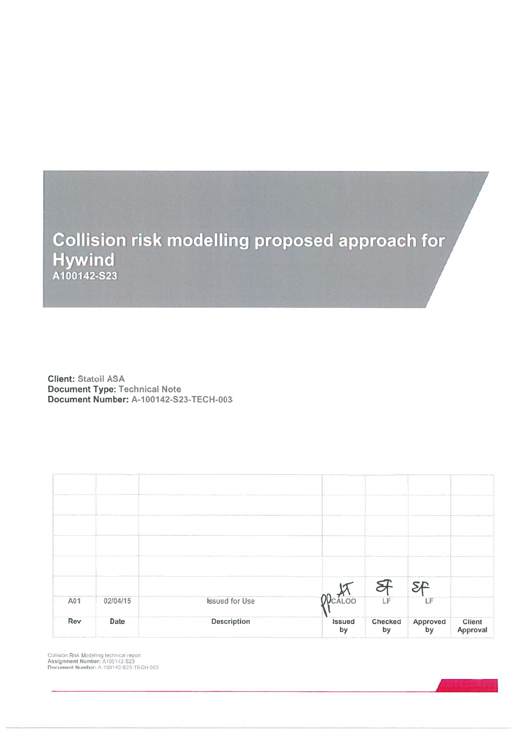

**Client: Statoil ASA Document Type: Technical Note** Document Number: A-100142-S23-TECH-003

|     |          |                       |                     | Я             | <b>SD</b>      |                    |
|-----|----------|-----------------------|---------------------|---------------|----------------|--------------------|
| A01 | 02/04/15 | <b>Issued for Use</b> | <b>ODCALOO</b>      | LF            | LF             |                    |
| Rev | Date     | <b>Description</b>    | <b>Issued</b><br>by | Checked<br>by | Approved<br>by | Client<br>Approval |

Collision Risk Modelling technical report<br>Assignment Number: A100142-S23<br>Document Number: A-100142-S23-TECH-003

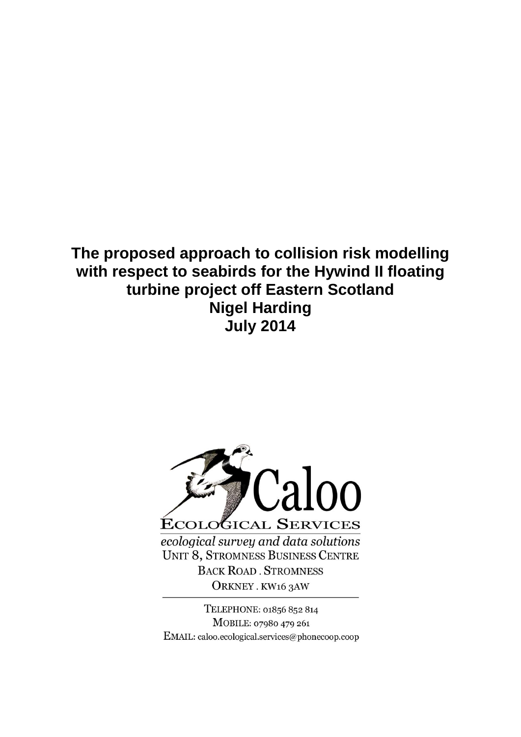# **The proposed approach to collision risk modelling with respect to seabirds for the Hywind II floating turbine project off Eastern Scotland Nigel Harding July 2014**



TELEPHONE: 01856 852 814 MOBILE: 07980 479 261 EMAIL: caloo.ecological.services@phonecoop.coop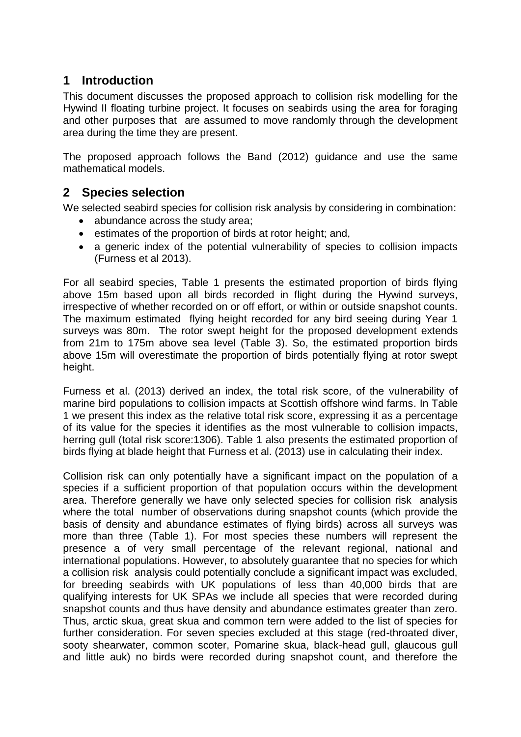### **1 Introduction**

This document discusses the proposed approach to collision risk modelling for the Hywind II floating turbine project. It focuses on seabirds using the area for foraging and other purposes that are assumed to move randomly through the development area during the time they are present.

The proposed approach follows the Band (2012) guidance and use the same mathematical models.

### **2 Species selection**

We selected seabird species for collision risk analysis by considering in combination:

- abundance across the study area;
- **•** estimates of the proportion of birds at rotor height; and,
- a generic index of the potential vulnerability of species to collision impacts (Furness et al 2013).

For all seabird species, Table 1 presents the estimated proportion of birds flying above 15m based upon all birds recorded in flight during the Hywind surveys, irrespective of whether recorded on or off effort, or within or outside snapshot counts. The maximum estimated flying height recorded for any bird seeing during Year 1 surveys was 80m. The rotor swept height for the proposed development extends from 21m to 175m above sea level (Table 3). So, the estimated proportion birds above 15m will overestimate the proportion of birds potentially flying at rotor swept height.

Furness et al. (2013) derived an index, the total risk score, of the vulnerability of marine bird populations to collision impacts at Scottish offshore wind farms. In Table 1 we present this index as the relative total risk score, expressing it as a percentage of its value for the species it identifies as the most vulnerable to collision impacts, herring gull (total risk score:1306). Table 1 also presents the estimated proportion of birds flying at blade height that Furness et al. (2013) use in calculating their index.

Collision risk can only potentially have a significant impact on the population of a species if a sufficient proportion of that population occurs within the development area. Therefore generally we have only selected species for collision risk analysis where the total number of observations during snapshot counts (which provide the basis of density and abundance estimates of flying birds) across all surveys was more than three (Table 1). For most species these numbers will represent the presence a of very small percentage of the relevant regional, national and international populations. However, to absolutely guarantee that no species for which a collision risk analysis could potentially conclude a significant impact was excluded, for breeding seabirds with UK populations of less than 40,000 birds that are qualifying interests for UK SPAs we include all species that were recorded during snapshot counts and thus have density and abundance estimates greater than zero. Thus, arctic skua, great skua and common tern were added to the list of species for further consideration. For seven species excluded at this stage (red-throated diver, sooty shearwater, common scoter, Pomarine skua, black-head gull, glaucous gull and little auk) no birds were recorded during snapshot count, and therefore the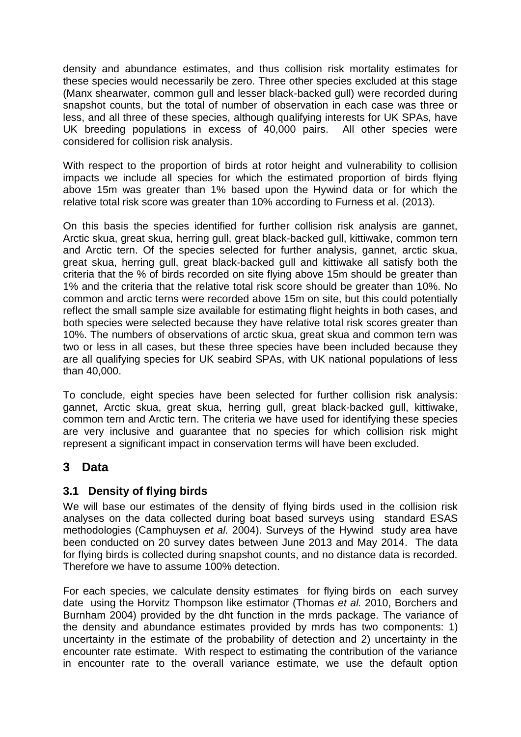density and abundance estimates, and thus collision risk mortality estimates for these species would necessarily be zero. Three other species excluded at this stage (Manx shearwater, common gull and lesser black-backed gull) were recorded during snapshot counts, but the total of number of observation in each case was three or less, and all three of these species, although qualifying interests for UK SPAs, have UK breeding populations in excess of 40,000 pairs. All other species were considered for collision risk analysis.

With respect to the proportion of birds at rotor height and vulnerability to collision impacts we include all species for which the estimated proportion of birds flying above 15m was greater than 1% based upon the Hywind data or for which the relative total risk score was greater than 10% according to Furness et al. (2013).

On this basis the species identified for further collision risk analysis are gannet, Arctic skua, great skua, herring gull, great black-backed gull, kittiwake, common tern and Arctic tern. Of the species selected for further analysis, gannet, arctic skua, great skua, herring gull, great black-backed gull and kittiwake all satisfy both the criteria that the % of birds recorded on site flying above 15m should be greater than 1% and the criteria that the relative total risk score should be greater than 10%. No common and arctic terns were recorded above 15m on site, but this could potentially reflect the small sample size available for estimating flight heights in both cases, and both species were selected because they have relative total risk scores greater than 10%. The numbers of observations of arctic skua, great skua and common tern was two or less in all cases, but these three species have been included because they are all qualifying species for UK seabird SPAs, with UK national populations of less than 40,000.

To conclude, eight species have been selected for further collision risk analysis: gannet, Arctic skua, great skua, herring gull, great black-backed gull, kittiwake, common tern and Arctic tern. The criteria we have used for identifying these species are very inclusive and guarantee that no species for which collision risk might represent a significant impact in conservation terms will have been excluded.

### **3 Data**

### **3.1 Density of flying birds**

We will base our estimates of the density of flying birds used in the collision risk analyses on the data collected during boat based surveys using standard ESAS methodologies (Camphuysen *et al.* 2004). Surveys of the Hywind study area have been conducted on 20 survey dates between June 2013 and May 2014. The data for flying birds is collected during snapshot counts, and no distance data is recorded. Therefore we have to assume 100% detection.

For each species, we calculate density estimates for flying birds on each survey date using the Horvitz Thompson like estimator (Thomas *et al.* 2010, Borchers and Burnham 2004) provided by the dht function in the mrds package. The variance of the density and abundance estimates provided by mrds has two components: 1) uncertainty in the estimate of the probability of detection and 2) uncertainty in the encounter rate estimate. With respect to estimating the contribution of the variance in encounter rate to the overall variance estimate, we use the default option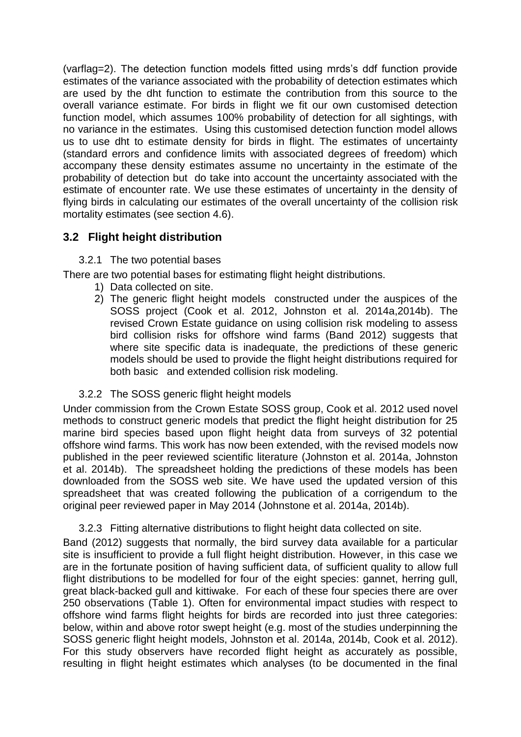(varflag=2). The detection function models fitted using mrds's ddf function provide estimates of the variance associated with the probability of detection estimates which are used by the dht function to estimate the contribution from this source to the overall variance estimate. For birds in flight we fit our own customised detection function model, which assumes 100% probability of detection for all sightings, with no variance in the estimates. Using this customised detection function model allows us to use dht to estimate density for birds in flight. The estimates of uncertainty (standard errors and confidence limits with associated degrees of freedom) which accompany these density estimates assume no uncertainty in the estimate of the probability of detection but do take into account the uncertainty associated with the estimate of encounter rate. We use these estimates of uncertainty in the density of flying birds in calculating our estimates of the overall uncertainty of the collision risk mortality estimates (see section 4.6).

### **3.2 Flight height distribution**

#### 3.2.1 The two potential bases

There are two potential bases for estimating flight height distributions.

- 1) Data collected on site.
- 2) The generic flight height models constructed under the auspices of the SOSS project (Cook et al. 2012, Johnston et al. 2014a,2014b). The revised Crown Estate guidance on using collision risk modeling to assess bird collision risks for offshore wind farms (Band 2012) suggests that where site specific data is inadequate, the predictions of these generic models should be used to provide the flight height distributions required for both basic and extended collision risk modeling.

#### 3.2.2 The SOSS generic flight height models

Under commission from the Crown Estate SOSS group, Cook et al. 2012 used novel methods to construct generic models that predict the flight height distribution for 25 marine bird species based upon flight height data from surveys of 32 potential offshore wind farms. This work has now been extended, with the revised models now published in the peer reviewed scientific literature (Johnston et al. 2014a, Johnston et al. 2014b). The spreadsheet holding the predictions of these models has been downloaded from the SOSS web site. We have used the updated version of this spreadsheet that was created following the publication of a corrigendum to the original peer reviewed paper in May 2014 (Johnstone et al. 2014a, 2014b).

3.2.3 Fitting alternative distributions to flight height data collected on site.

Band (2012) suggests that normally, the bird survey data available for a particular site is insufficient to provide a full flight height distribution. However, in this case we are in the fortunate position of having sufficient data, of sufficient quality to allow full flight distributions to be modelled for four of the eight species: gannet, herring gull, great black-backed gull and kittiwake. For each of these four species there are over 250 observations (Table 1). Often for environmental impact studies with respect to offshore wind farms flight heights for birds are recorded into just three categories: below, within and above rotor swept height (e.g. most of the studies underpinning the SOSS generic flight height models, Johnston et al. 2014a, 2014b, Cook et al. 2012). For this study observers have recorded flight height as accurately as possible, resulting in flight height estimates which analyses (to be documented in the final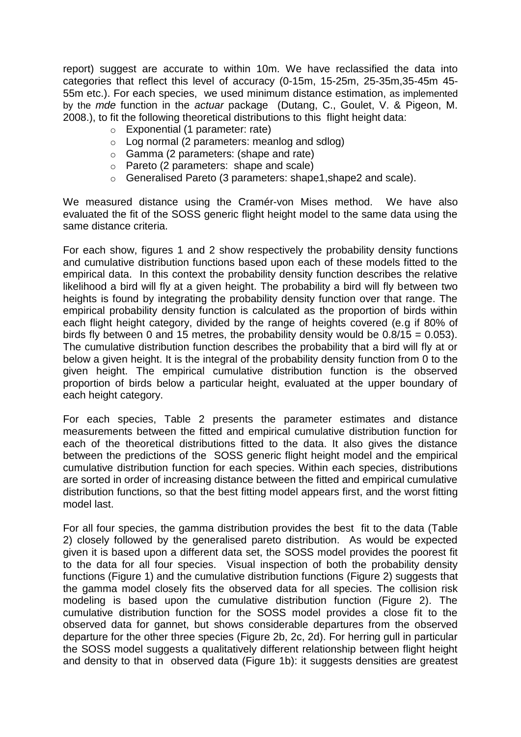report) suggest are accurate to within 10m. We have reclassified the data into categories that reflect this level of accuracy (0-15m, 15-25m, 25-35m,35-45m 45- 55m etc.). For each species, we used minimum distance estimation, as implemented by the *mde* function in the *actuar* package (Dutang, C., Goulet, V. & Pigeon, M. 2008.), to fit the following theoretical distributions to this flight height data:

- o Exponential (1 parameter: rate)
- o Log normal (2 parameters: meanlog and sdlog)
- o Gamma (2 parameters: (shape and rate)
- o Pareto (2 parameters: shape and scale)
- o Generalised Pareto (3 parameters: shape1,shape2 and scale).

We measured distance using the Cramér-von Mises method. We have also evaluated the fit of the SOSS generic flight height model to the same data using the same distance criteria.

For each show, figures 1 and 2 show respectively the probability density functions and cumulative distribution functions based upon each of these models fitted to the empirical data. In this context the probability density function describes the relative likelihood a bird will fly at a given height. The probability a bird will fly between two heights is found by integrating the probability density function over that range. The empirical probability density function is calculated as the proportion of birds within each flight height category, divided by the range of heights covered (e.g if 80% of birds fly between 0 and 15 metres, the probability density would be  $0.8/15 = 0.053$ ). The cumulative distribution function describes the probability that a bird will fly at or below a given height. It is the integral of the probability density function from 0 to the given height. The empirical cumulative distribution function is the observed proportion of birds below a particular height, evaluated at the upper boundary of each height category.

For each species, Table 2 presents the parameter estimates and distance measurements between the fitted and empirical cumulative distribution function for each of the theoretical distributions fitted to the data. It also gives the distance between the predictions of the SOSS generic flight height model and the empirical cumulative distribution function for each species. Within each species, distributions are sorted in order of increasing distance between the fitted and empirical cumulative distribution functions, so that the best fitting model appears first, and the worst fitting model last.

For all four species, the gamma distribution provides the best fit to the data (Table 2) closely followed by the generalised pareto distribution. As would be expected given it is based upon a different data set, the SOSS model provides the poorest fit to the data for all four species. Visual inspection of both the probability density functions (Figure 1) and the cumulative distribution functions (Figure 2) suggests that the gamma model closely fits the observed data for all species. The collision risk modeling is based upon the cumulative distribution function (Figure 2). The cumulative distribution function for the SOSS model provides a close fit to the observed data for gannet, but shows considerable departures from the observed departure for the other three species (Figure 2b, 2c, 2d). For herring gull in particular the SOSS model suggests a qualitatively different relationship between flight height and density to that in observed data (Figure 1b): it suggests densities are greatest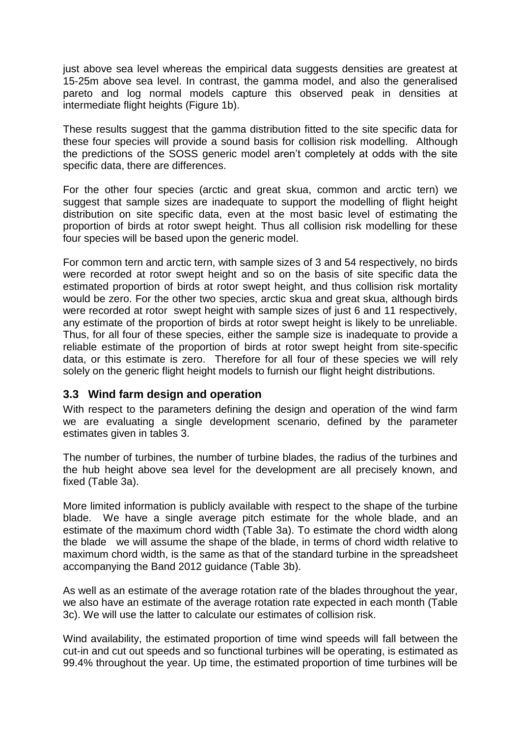just above sea level whereas the empirical data suggests densities are greatest at 15-25m above sea level. In contrast, the gamma model, and also the generalised pareto and log normal models capture this observed peak in densities at intermediate flight heights (Figure 1b).

These results suggest that the gamma distribution fitted to the site specific data for these four species will provide a sound basis for collision risk modelling. Although the predictions of the SOSS generic model aren't completely at odds with the site specific data, there are differences.

For the other four species (arctic and great skua, common and arctic tern) we suggest that sample sizes are inadequate to support the modelling of flight height distribution on site specific data, even at the most basic level of estimating the proportion of birds at rotor swept height. Thus all collision risk modelling for these four species will be based upon the generic model.

For common tern and arctic tern, with sample sizes of 3 and 54 respectively, no birds were recorded at rotor swept height and so on the basis of site specific data the estimated proportion of birds at rotor swept height, and thus collision risk mortality would be zero. For the other two species, arctic skua and great skua, although birds were recorded at rotor swept height with sample sizes of just 6 and 11 respectively, any estimate of the proportion of birds at rotor swept height is likely to be unreliable. Thus, for all four of these species, either the sample size is inadequate to provide a reliable estimate of the proportion of birds at rotor swept height from site-specific data, or this estimate is zero. Therefore for all four of these species we will rely solely on the generic flight height models to furnish our flight height distributions.

#### **3.3 Wind farm design and operation**

With respect to the parameters defining the design and operation of the wind farm we are evaluating a single development scenario, defined by the parameter estimates given in tables 3.

The number of turbines, the number of turbine blades, the radius of the turbines and the hub height above sea level for the development are all precisely known, and fixed (Table 3a).

More limited information is publicly available with respect to the shape of the turbine blade. We have a single average pitch estimate for the whole blade, and an estimate of the maximum chord width (Table 3a). To estimate the chord width along the blade we will assume the shape of the blade, in terms of chord width relative to maximum chord width, is the same as that of the standard turbine in the spreadsheet accompanying the Band 2012 guidance (Table 3b).

As well as an estimate of the average rotation rate of the blades throughout the year, we also have an estimate of the average rotation rate expected in each month (Table 3c). We will use the latter to calculate our estimates of collision risk.

Wind availability, the estimated proportion of time wind speeds will fall between the cut-in and cut out speeds and so functional turbines will be operating, is estimated as 99.4% throughout the year. Up time, the estimated proportion of time turbines will be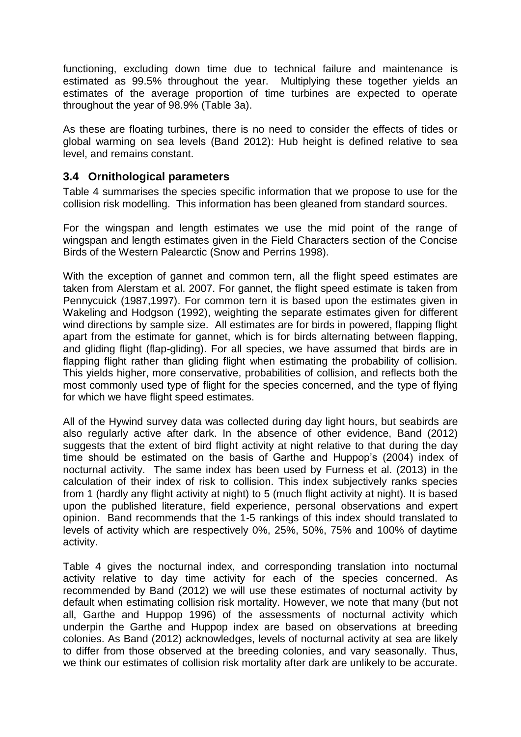functioning, excluding down time due to technical failure and maintenance is estimated as 99.5% throughout the year. Multiplying these together yields an estimates of the average proportion of time turbines are expected to operate throughout the year of 98.9% (Table 3a).

As these are floating turbines, there is no need to consider the effects of tides or global warming on sea levels (Band 2012): Hub height is defined relative to sea level, and remains constant.

#### **3.4 Ornithological parameters**

Table 4 summarises the species specific information that we propose to use for the collision risk modelling. This information has been gleaned from standard sources.

For the wingspan and length estimates we use the mid point of the range of wingspan and length estimates given in the Field Characters section of the Concise Birds of the Western Palearctic (Snow and Perrins 1998).

With the exception of gannet and common tern, all the flight speed estimates are taken from Alerstam et al. 2007. For gannet, the flight speed estimate is taken from Pennycuick (1987,1997). For common tern it is based upon the estimates given in Wakeling and Hodgson (1992), weighting the separate estimates given for different wind directions by sample size. All estimates are for birds in powered, flapping flight apart from the estimate for gannet, which is for birds alternating between flapping, and gliding flight (flap-gliding). For all species, we have assumed that birds are in flapping flight rather than gliding flight when estimating the probability of collision. This yields higher, more conservative, probabilities of collision, and reflects both the most commonly used type of flight for the species concerned, and the type of flying for which we have flight speed estimates.

All of the Hywind survey data was collected during day light hours, but seabirds are also regularly active after dark. In the absence of other evidence, Band (2012) suggests that the extent of bird flight activity at night relative to that during the day time should be estimated on the basis of Garthe and Huppop's (2004) index of nocturnal activity. The same index has been used by Furness et al. (2013) in the calculation of their index of risk to collision. This index subjectively ranks species from 1 (hardly any flight activity at night) to 5 (much flight activity at night). It is based upon the published literature, field experience, personal observations and expert opinion. Band recommends that the 1-5 rankings of this index should translated to levels of activity which are respectively 0%, 25%, 50%, 75% and 100% of daytime activity.

Table 4 gives the nocturnal index, and corresponding translation into nocturnal activity relative to day time activity for each of the species concerned. As recommended by Band (2012) we will use these estimates of nocturnal activity by default when estimating collision risk mortality. However, we note that many (but not all, Garthe and Huppop 1996) of the assessments of nocturnal activity which underpin the Garthe and Huppop index are based on observations at breeding colonies. As Band (2012) acknowledges, levels of nocturnal activity at sea are likely to differ from those observed at the breeding colonies, and vary seasonally. Thus, we think our estimates of collision risk mortality after dark are unlikely to be accurate.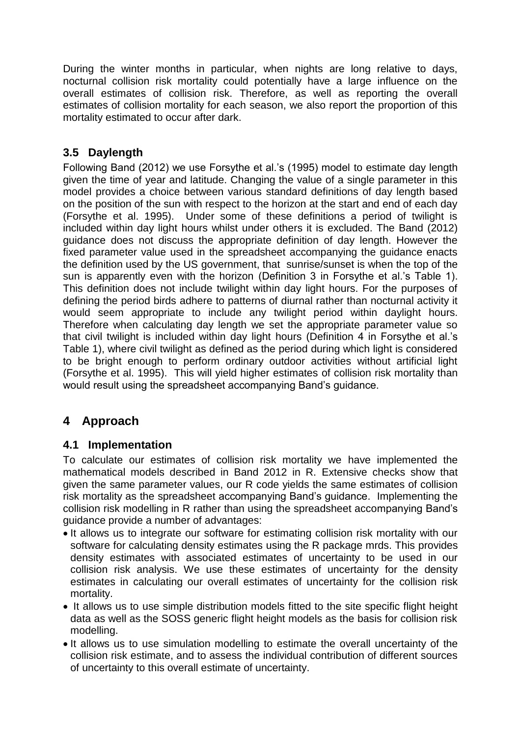During the winter months in particular, when nights are long relative to days, nocturnal collision risk mortality could potentially have a large influence on the overall estimates of collision risk. Therefore, as well as reporting the overall estimates of collision mortality for each season, we also report the proportion of this mortality estimated to occur after dark.

### **3.5 Daylength**

Following Band (2012) we use Forsythe et al.'s (1995) model to estimate day length given the time of year and latitude. Changing the value of a single parameter in this model provides a choice between various standard definitions of day length based on the position of the sun with respect to the horizon at the start and end of each day (Forsythe et al. 1995). Under some of these definitions a period of twilight is included within day light hours whilst under others it is excluded. The Band (2012) guidance does not discuss the appropriate definition of day length. However the fixed parameter value used in the spreadsheet accompanying the guidance enacts the definition used by the US government, that sunrise/sunset is when the top of the sun is apparently even with the horizon (Definition 3 in Forsythe et al.'s Table 1). This definition does not include twilight within day light hours. For the purposes of defining the period birds adhere to patterns of diurnal rather than nocturnal activity it would seem appropriate to include any twilight period within daylight hours. Therefore when calculating day length we set the appropriate parameter value so that civil twilight is included within day light hours (Definition 4 in Forsythe et al.'s Table 1), where civil twilight as defined as the period during which light is considered to be bright enough to perform ordinary outdoor activities without artificial light (Forsythe et al. 1995). This will yield higher estimates of collision risk mortality than would result using the spreadsheet accompanying Band's guidance.

### **4 Approach**

### **4.1 Implementation**

To calculate our estimates of collision risk mortality we have implemented the mathematical models described in Band 2012 in R. Extensive checks show that given the same parameter values, our R code yields the same estimates of collision risk mortality as the spreadsheet accompanying Band's guidance. Implementing the collision risk modelling in R rather than using the spreadsheet accompanying Band's guidance provide a number of advantages:

- It allows us to integrate our software for estimating collision risk mortality with our software for calculating density estimates using the R package mrds. This provides density estimates with associated estimates of uncertainty to be used in our collision risk analysis. We use these estimates of uncertainty for the density estimates in calculating our overall estimates of uncertainty for the collision risk mortality.
- It allows us to use simple distribution models fitted to the site specific flight height data as well as the SOSS generic flight height models as the basis for collision risk modelling.
- It allows us to use simulation modelling to estimate the overall uncertainty of the collision risk estimate, and to assess the individual contribution of different sources of uncertainty to this overall estimate of uncertainty.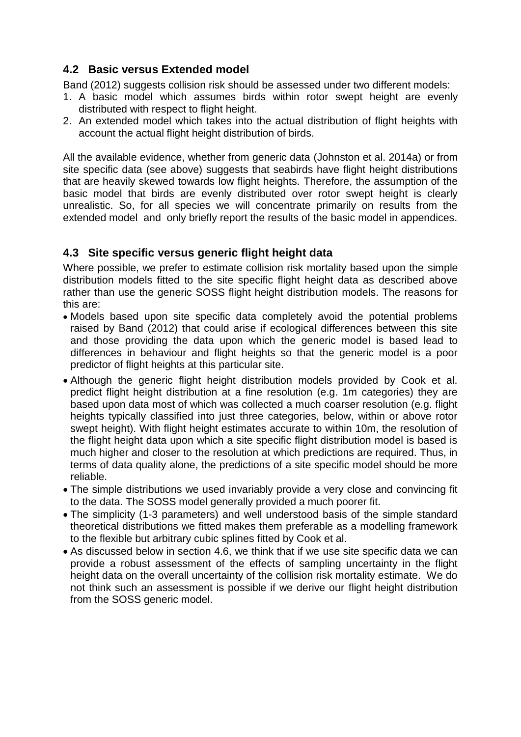### **4.2 Basic versus Extended model**

Band (2012) suggests collision risk should be assessed under two different models:

- 1. A basic model which assumes birds within rotor swept height are evenly distributed with respect to flight height.
- 2. An extended model which takes into the actual distribution of flight heights with account the actual flight height distribution of birds.

All the available evidence, whether from generic data (Johnston et al. 2014a) or from site specific data (see above) suggests that seabirds have flight height distributions that are heavily skewed towards low flight heights. Therefore, the assumption of the basic model that birds are evenly distributed over rotor swept height is clearly unrealistic. So, for all species we will concentrate primarily on results from the extended model and only briefly report the results of the basic model in appendices.

### **4.3 Site specific versus generic flight height data**

Where possible, we prefer to estimate collision risk mortality based upon the simple distribution models fitted to the site specific flight height data as described above rather than use the generic SOSS flight height distribution models. The reasons for this are:

- Models based upon site specific data completely avoid the potential problems raised by Band (2012) that could arise if ecological differences between this site and those providing the data upon which the generic model is based lead to differences in behaviour and flight heights so that the generic model is a poor predictor of flight heights at this particular site.
- Although the generic flight height distribution models provided by Cook et al. predict flight height distribution at a fine resolution (e.g. 1m categories) they are based upon data most of which was collected a much coarser resolution (e.g. flight heights typically classified into just three categories, below, within or above rotor swept height). With flight height estimates accurate to within 10m, the resolution of the flight height data upon which a site specific flight distribution model is based is much higher and closer to the resolution at which predictions are required. Thus, in terms of data quality alone, the predictions of a site specific model should be more reliable.
- The simple distributions we used invariably provide a very close and convincing fit to the data. The SOSS model generally provided a much poorer fit.
- The simplicity (1-3 parameters) and well understood basis of the simple standard theoretical distributions we fitted makes them preferable as a modelling framework to the flexible but arbitrary cubic splines fitted by Cook et al.
- As discussed below in section 4.6, we think that if we use site specific data we can provide a robust assessment of the effects of sampling uncertainty in the flight height data on the overall uncertainty of the collision risk mortality estimate. We do not think such an assessment is possible if we derive our flight height distribution from the SOSS generic model.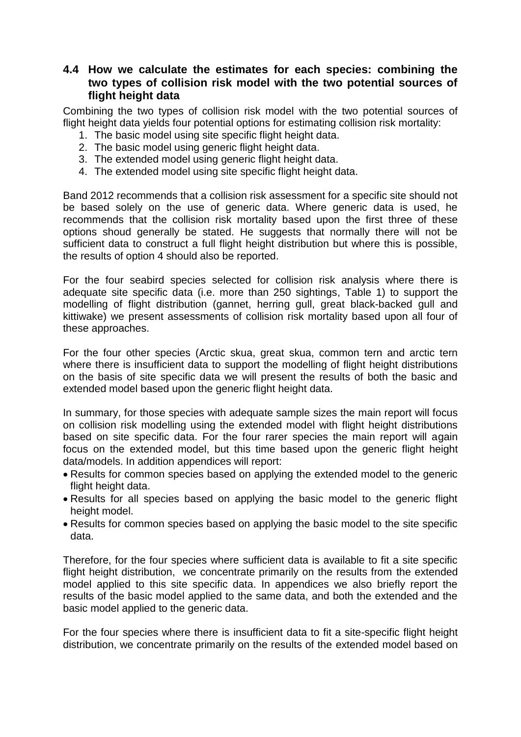#### **4.4 How we calculate the estimates for each species: combining the two types of collision risk model with the two potential sources of flight height data**

Combining the two types of collision risk model with the two potential sources of flight height data yields four potential options for estimating collision risk mortality:

- 1. The basic model using site specific flight height data.
- 2. The basic model using generic flight height data.
- 3. The extended model using generic flight height data.
- 4. The extended model using site specific flight height data.

Band 2012 recommends that a collision risk assessment for a specific site should not be based solely on the use of generic data. Where generic data is used, he recommends that the collision risk mortality based upon the first three of these options shoud generally be stated. He suggests that normally there will not be sufficient data to construct a full flight height distribution but where this is possible, the results of option 4 should also be reported.

For the four seabird species selected for collision risk analysis where there is adequate site specific data (i.e. more than 250 sightings, Table 1) to support the modelling of flight distribution (gannet, herring gull, great black-backed gull and kittiwake) we present assessments of collision risk mortality based upon all four of these approaches.

For the four other species (Arctic skua, great skua, common tern and arctic tern where there is insufficient data to support the modelling of flight height distributions on the basis of site specific data we will present the results of both the basic and extended model based upon the generic flight height data.

In summary, for those species with adequate sample sizes the main report will focus on collision risk modelling using the extended model with flight height distributions based on site specific data. For the four rarer species the main report will again focus on the extended model, but this time based upon the generic flight height data/models. In addition appendices will report:

- Results for common species based on applying the extended model to the generic flight height data.
- Results for all species based on applying the basic model to the generic flight height model.
- Results for common species based on applying the basic model to the site specific data.

Therefore, for the four species where sufficient data is available to fit a site specific flight height distribution, we concentrate primarily on the results from the extended model applied to this site specific data. In appendices we also briefly report the results of the basic model applied to the same data, and both the extended and the basic model applied to the generic data.

For the four species where there is insufficient data to fit a site-specific flight height distribution, we concentrate primarily on the results of the extended model based on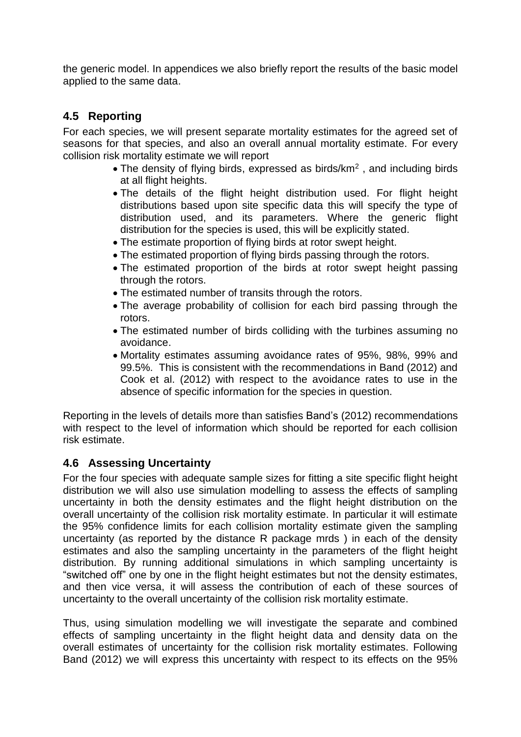the generic model. In appendices we also briefly report the results of the basic model applied to the same data.

#### **4.5 Reporting**

For each species, we will present separate mortality estimates for the agreed set of seasons for that species, and also an overall annual mortality estimate. For every collision risk mortality estimate we will report

- The density of flying birds, expressed as birds/ $km<sup>2</sup>$ , and including birds at all flight heights.
- The details of the flight height distribution used. For flight height distributions based upon site specific data this will specify the type of distribution used, and its parameters. Where the generic flight distribution for the species is used, this will be explicitly stated.
- The estimate proportion of flying birds at rotor swept height.
- The estimated proportion of flying birds passing through the rotors.
- The estimated proportion of the birds at rotor swept height passing through the rotors.
- The estimated number of transits through the rotors.
- The average probability of collision for each bird passing through the rotors.
- The estimated number of birds colliding with the turbines assuming no avoidance.
- Mortality estimates assuming avoidance rates of 95%, 98%, 99% and 99.5%. This is consistent with the recommendations in Band (2012) and Cook et al. (2012) with respect to the avoidance rates to use in the absence of specific information for the species in question.

Reporting in the levels of details more than satisfies Band's (2012) recommendations with respect to the level of information which should be reported for each collision risk estimate.

### **4.6 Assessing Uncertainty**

For the four species with adequate sample sizes for fitting a site specific flight height distribution we will also use simulation modelling to assess the effects of sampling uncertainty in both the density estimates and the flight height distribution on the overall uncertainty of the collision risk mortality estimate. In particular it will estimate the 95% confidence limits for each collision mortality estimate given the sampling uncertainty (as reported by the distance R package mrds ) in each of the density estimates and also the sampling uncertainty in the parameters of the flight height distribution. By running additional simulations in which sampling uncertainty is "switched off" one by one in the flight height estimates but not the density estimates, and then vice versa, it will assess the contribution of each of these sources of uncertainty to the overall uncertainty of the collision risk mortality estimate.

Thus, using simulation modelling we will investigate the separate and combined effects of sampling uncertainty in the flight height data and density data on the overall estimates of uncertainty for the collision risk mortality estimates. Following Band (2012) we will express this uncertainty with respect to its effects on the 95%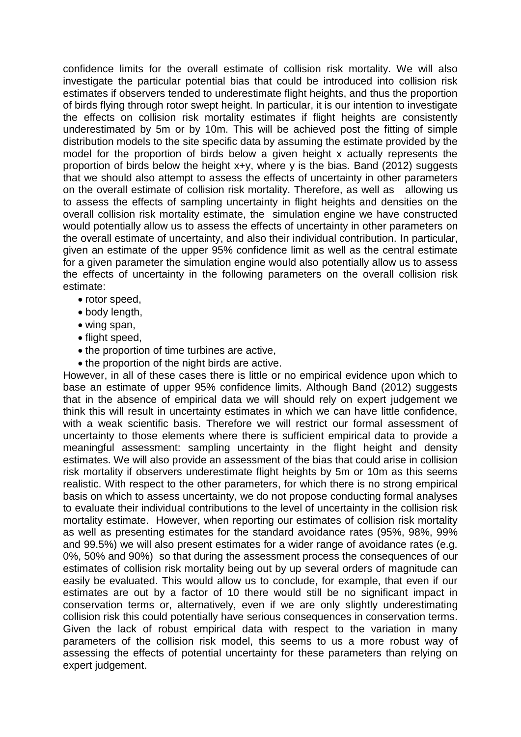confidence limits for the overall estimate of collision risk mortality. We will also investigate the particular potential bias that could be introduced into collision risk estimates if observers tended to underestimate flight heights, and thus the proportion of birds flying through rotor swept height. In particular, it is our intention to investigate the effects on collision risk mortality estimates if flight heights are consistently underestimated by 5m or by 10m. This will be achieved post the fitting of simple distribution models to the site specific data by assuming the estimate provided by the model for the proportion of birds below a given height x actually represents the proportion of birds below the height x+y, where y is the bias. Band (2012) suggests that we should also attempt to assess the effects of uncertainty in other parameters on the overall estimate of collision risk mortality. Therefore, as well as allowing us to assess the effects of sampling uncertainty in flight heights and densities on the overall collision risk mortality estimate, the simulation engine we have constructed would potentially allow us to assess the effects of uncertainty in other parameters on the overall estimate of uncertainty, and also their individual contribution. In particular, given an estimate of the upper 95% confidence limit as well as the central estimate for a given parameter the simulation engine would also potentially allow us to assess the effects of uncertainty in the following parameters on the overall collision risk estimate:

- rotor speed,
- body length,
- wing span,
- flight speed,
- the proportion of time turbines are active,
- the proportion of the night birds are active.

However, in all of these cases there is little or no empirical evidence upon which to base an estimate of upper 95% confidence limits. Although Band (2012) suggests that in the absence of empirical data we will should rely on expert judgement we think this will result in uncertainty estimates in which we can have little confidence, with a weak scientific basis. Therefore we will restrict our formal assessment of uncertainty to those elements where there is sufficient empirical data to provide a meaningful assessment: sampling uncertainty in the flight height and density estimates. We will also provide an assessment of the bias that could arise in collision risk mortality if observers underestimate flight heights by 5m or 10m as this seems realistic. With respect to the other parameters, for which there is no strong empirical basis on which to assess uncertainty, we do not propose conducting formal analyses to evaluate their individual contributions to the level of uncertainty in the collision risk mortality estimate. However, when reporting our estimates of collision risk mortality as well as presenting estimates for the standard avoidance rates (95%, 98%, 99% and 99.5%) we will also present estimates for a wider range of avoidance rates (e.g. 0%, 50% and 90%) so that during the assessment process the consequences of our estimates of collision risk mortality being out by up several orders of magnitude can easily be evaluated. This would allow us to conclude, for example, that even if our estimates are out by a factor of 10 there would still be no significant impact in conservation terms or, alternatively, even if we are only slightly underestimating collision risk this could potentially have serious consequences in conservation terms. Given the lack of robust empirical data with respect to the variation in many parameters of the collision risk model, this seems to us a more robust way of assessing the effects of potential uncertainty for these parameters than relying on expert judgement.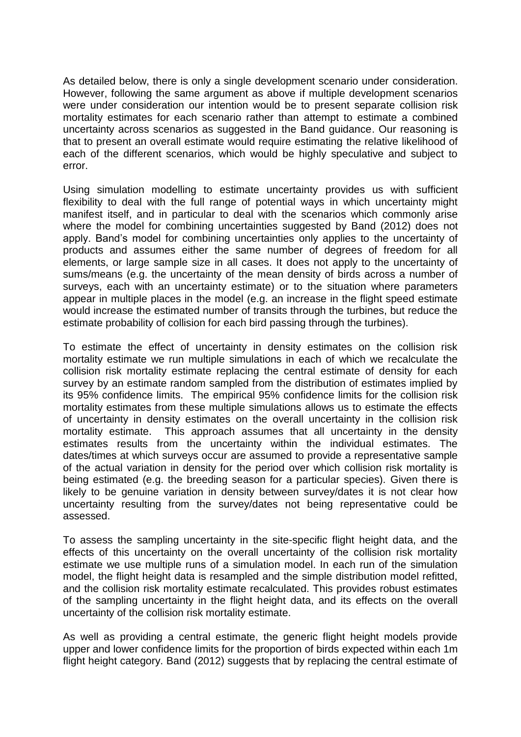As detailed below, there is only a single development scenario under consideration. However, following the same argument as above if multiple development scenarios were under consideration our intention would be to present separate collision risk mortality estimates for each scenario rather than attempt to estimate a combined uncertainty across scenarios as suggested in the Band guidance. Our reasoning is that to present an overall estimate would require estimating the relative likelihood of each of the different scenarios, which would be highly speculative and subject to error.

Using simulation modelling to estimate uncertainty provides us with sufficient flexibility to deal with the full range of potential ways in which uncertainty might manifest itself, and in particular to deal with the scenarios which commonly arise where the model for combining uncertainties suggested by Band (2012) does not apply. Band's model for combining uncertainties only applies to the uncertainty of products and assumes either the same number of degrees of freedom for all elements, or large sample size in all cases. It does not apply to the uncertainty of sums/means (e.g. the uncertainty of the mean density of birds across a number of surveys, each with an uncertainty estimate) or to the situation where parameters appear in multiple places in the model (e.g. an increase in the flight speed estimate would increase the estimated number of transits through the turbines, but reduce the estimate probability of collision for each bird passing through the turbines).

To estimate the effect of uncertainty in density estimates on the collision risk mortality estimate we run multiple simulations in each of which we recalculate the collision risk mortality estimate replacing the central estimate of density for each survey by an estimate random sampled from the distribution of estimates implied by its 95% confidence limits. The empirical 95% confidence limits for the collision risk mortality estimates from these multiple simulations allows us to estimate the effects of uncertainty in density estimates on the overall uncertainty in the collision risk mortality estimate. This approach assumes that all uncertainty in the density estimates results from the uncertainty within the individual estimates. The dates/times at which surveys occur are assumed to provide a representative sample of the actual variation in density for the period over which collision risk mortality is being estimated (e.g. the breeding season for a particular species). Given there is likely to be genuine variation in density between survey/dates it is not clear how uncertainty resulting from the survey/dates not being representative could be assessed.

To assess the sampling uncertainty in the site-specific flight height data, and the effects of this uncertainty on the overall uncertainty of the collision risk mortality estimate we use multiple runs of a simulation model. In each run of the simulation model, the flight height data is resampled and the simple distribution model refitted, and the collision risk mortality estimate recalculated. This provides robust estimates of the sampling uncertainty in the flight height data, and its effects on the overall uncertainty of the collision risk mortality estimate.

As well as providing a central estimate, the generic flight height models provide upper and lower confidence limits for the proportion of birds expected within each 1m flight height category. Band (2012) suggests that by replacing the central estimate of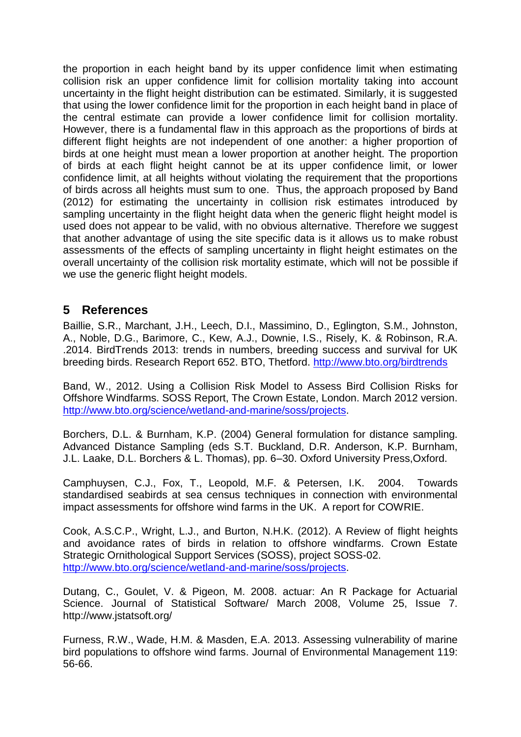the proportion in each height band by its upper confidence limit when estimating collision risk an upper confidence limit for collision mortality taking into account uncertainty in the flight height distribution can be estimated. Similarly, it is suggested that using the lower confidence limit for the proportion in each height band in place of the central estimate can provide a lower confidence limit for collision mortality. However, there is a fundamental flaw in this approach as the proportions of birds at different flight heights are not independent of one another: a higher proportion of birds at one height must mean a lower proportion at another height. The proportion of birds at each flight height cannot be at its upper confidence limit, or lower confidence limit, at all heights without violating the requirement that the proportions of birds across all heights must sum to one. Thus, the approach proposed by Band (2012) for estimating the uncertainty in collision risk estimates introduced by sampling uncertainty in the flight height data when the generic flight height model is used does not appear to be valid, with no obvious alternative. Therefore we suggest that another advantage of using the site specific data is it allows us to make robust assessments of the effects of sampling uncertainty in flight height estimates on the overall uncertainty of the collision risk mortality estimate, which will not be possible if we use the generic flight height models.

### **5 References**

Baillie, S.R., Marchant, J.H., Leech, D.I., Massimino, D., Eglington, S.M., Johnston, A., Noble, D.G., Barimore, C., Kew, A.J., Downie, I.S., Risely, K. & Robinson, R.A. .2014. BirdTrends 2013: trends in numbers, breeding success and survival for UK breeding birds. Research Report 652. BTO, Thetford.<http://www.bto.org/birdtrends>

Band, W., 2012. Using a Collision Risk Model to Assess Bird Collision Risks for Offshore Windfarms. SOSS Report, The Crown Estate, London. March 2012 version. [http://www.bto.org/science/wetland-and-marine/soss/projects.](http://www.bto.org/science/wetland-and-marine/soss/projects)

Borchers, D.L. & Burnham, K.P. (2004) General formulation for distance sampling. Advanced Distance Sampling (eds S.T. Buckland, D.R. Anderson, K.P. Burnham, J.L. Laake, D.L. Borchers & L. Thomas), pp. 6–30. Oxford University Press,Oxford.

Camphuysen, C.J., Fox, T., Leopold, M.F. & Petersen, I.K. 2004. Towards standardised seabirds at sea census techniques in connection with environmental impact assessments for offshore wind farms in the UK. A report for COWRIE.

Cook, A.S.C.P., Wright, L.J., and Burton, N.H.K. (2012). A Review of flight heights and avoidance rates of birds in relation to offshore windfarms. Crown Estate Strategic Ornithological Support Services (SOSS), project SOSS-02. [http://www.bto.org/science/wetland-and-marine/soss/projects.](http://www.bto.org/science/wetland-and-marine/soss/projects)

Dutang, C., Goulet, V. & Pigeon, M. 2008. actuar: An R Package for Actuarial Science. Journal of Statistical Software/ March 2008, Volume 25, Issue 7. http://www.jstatsoft.org/

Furness, R.W., Wade, H.M. & Masden, E.A. 2013. Assessing vulnerability of marine bird populations to offshore wind farms. Journal of Environmental Management 119: 56-66.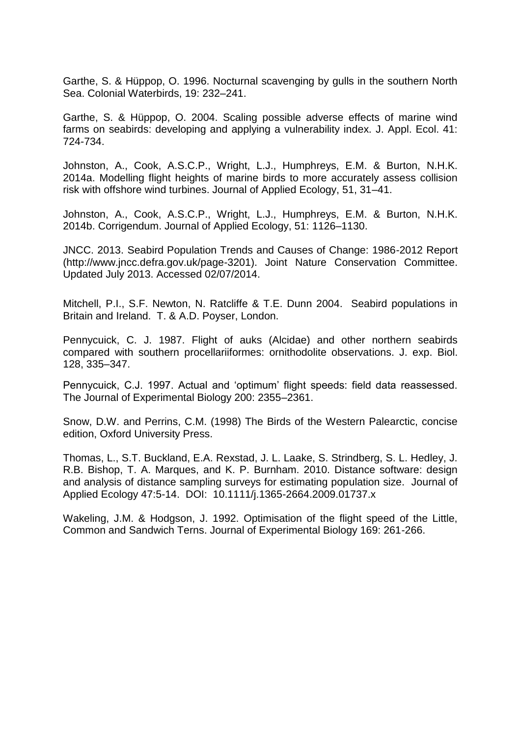Garthe, S. & Hüppop, O. 1996. Nocturnal scavenging by gulls in the southern North Sea. Colonial Waterbirds, 19: 232–241.

Garthe, S. & Hüppop, O. 2004. Scaling possible adverse effects of marine wind farms on seabirds: developing and applying a vulnerability index. J. Appl. Ecol. 41: 724-734.

Johnston, A., Cook, A.S.C.P., Wright, L.J., Humphreys, E.M. & Burton, N.H.K. 2014a. Modelling flight heights of marine birds to more accurately assess collision risk with offshore wind turbines. Journal of Applied Ecology, 51, 31–41.

Johnston, A., Cook, A.S.C.P., Wright, L.J., Humphreys, E.M. & Burton, N.H.K. 2014b. Corrigendum. Journal of Applied Ecology, 51: 1126–1130.

JNCC. 2013. Seabird Population Trends and Causes of Change: 1986-2012 Report (http://www.jncc.defra.gov.uk/page-3201). Joint Nature Conservation Committee. Updated July 2013. Accessed 02/07/2014.

Mitchell, P.I., S.F. Newton, N. Ratcliffe & T.E. Dunn 2004. Seabird populations in Britain and Ireland. T. & A.D. Poyser, London.

Pennycuick, C. J. 1987. Flight of auks (Alcidae) and other northern seabirds compared with southern procellariiformes: ornithodolite observations. J. exp. Biol. 128, 335–347.

Pennycuick, C.J. 1997. Actual and 'optimum' flight speeds: field data reassessed. The Journal of Experimental Biology 200: 2355–2361.

Snow, D.W. and Perrins, C.M. (1998) The Birds of the Western Palearctic, concise edition, Oxford University Press.

Thomas, L., S.T. Buckland, E.A. Rexstad, J. L. Laake, S. Strindberg, S. L. Hedley, J. R.B. Bishop, T. A. Marques, and K. P. Burnham. 2010. Distance software: design and analysis of distance sampling surveys for estimating population size. Journal of Applied Ecology 47:5-14. DOI: 10.1111/j.1365-2664.2009.01737.x

Wakeling, J.M. & Hodgson, J. 1992. Optimisation of the flight speed of the Little, Common and Sandwich Terns. Journal of Experimental Biology 169: 261-266.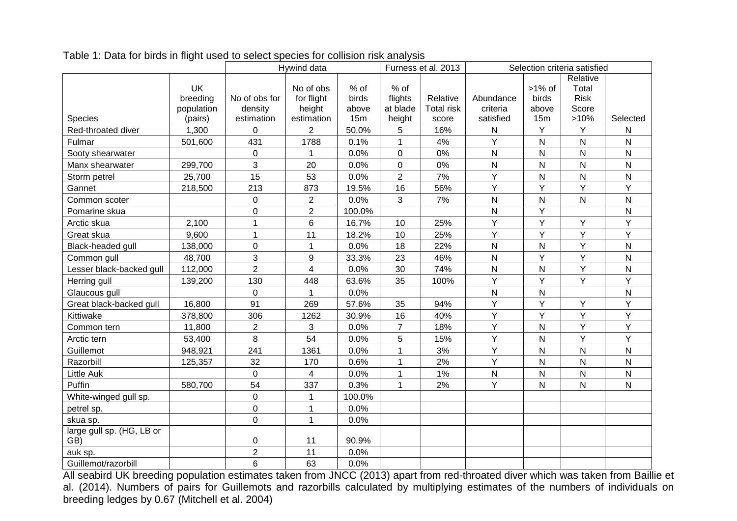|                           |            | Hywind data    |                |        |                | Furness et al. 2013 | Selection criteria satisfied |                |                |                |
|---------------------------|------------|----------------|----------------|--------|----------------|---------------------|------------------------------|----------------|----------------|----------------|
|                           |            |                |                |        |                |                     |                              | Relative       |                |                |
|                           | <b>UK</b>  |                | No of obs      | % of   | % of           |                     |                              | $>1\%$ of      | Total          |                |
|                           | breeding   | No of obs for  | for flight     | birds  | flights        | Relative            | Abundance                    | birds          | <b>Risk</b>    |                |
|                           | population | density        | height         | above  | at blade       | <b>Total risk</b>   | criteria                     | above          | Score          |                |
| <b>Species</b>            | (pairs)    | estimation     | estimation     | 15m    | height         | score               | satisfied                    | 15m            | >10%           | Selected       |
| Red-throated diver        | 1,300      | $\mathbf 0$    | $\overline{2}$ | 50.0%  | 5              | 16%                 | ${\sf N}$                    | Y              | Y              | N              |
| Fulmar                    | 501,600    | 431            | 1788           | 0.1%   | $\mathbf 1$    | 4%                  | Y                            | ${\sf N}$      | ${\sf N}$      | $\mathsf{N}$   |
| Sooty shearwater          |            | $\mathbf 0$    | $\mathbf{1}$   | 0.0%   | $\mathbf{0}$   | 0%                  | $\mathsf{N}$                 | N              | $\mathsf{N}$   | N              |
| Manx shearwater           | 299,700    | 3              | 20             | 0.0%   | $\mathbf 0$    | 0%                  | ${\sf N}$                    | N              | ${\sf N}$      | $\mathsf{N}$   |
| Storm petrel              | 25,700     | 15             | 53             | 0.0%   | 2              | 7%                  | Υ                            | ${\sf N}$      | ${\sf N}$      | ${\sf N}$      |
| Gannet                    | 218,500    | 213            | 873            | 19.5%  | 16             | 56%                 | $\overline{Y}$               | $\overline{Y}$ | $\overline{Y}$ | $\overline{Y}$ |
| Common scoter             |            | $\mathbf 0$    | $\overline{2}$ | 0.0%   | 3              | 7%                  | ${\sf N}$                    | N              | ${\sf N}$      | ${\sf N}$      |
| Pomarine skua             |            | $\mathbf 0$    | $\overline{2}$ | 100.0% |                |                     | N                            | Y              |                | ${\sf N}$      |
| Arctic skua               | 2,100      | $\mathbf{1}$   | 6              | 16.7%  | 10             | 25%                 | Υ                            | Υ              | Y              | Y              |
| Great skua                | 9,600      | $\mathbf{1}$   | 11             | 18.2%  | 10             | 25%                 | Y                            | Y              | Y              | Y              |
| Black-headed gull         | 138,000    | $\pmb{0}$      | 1              | 0.0%   | 18             | 22%                 | ${\sf N}$                    | ${\sf N}$      | Y              | ${\sf N}$      |
| Common gull               | 48,700     | 3              | 9              | 33.3%  | 23             | 46%                 | $\mathsf{N}$                 | Y              | Y              | $\mathsf{N}$   |
| Lesser black-backed gull  | 112,000    | $\overline{2}$ | $\overline{4}$ | 0.0%   | 30             | 74%                 | $\mathsf{N}$                 | ${\sf N}$      | Y              | $\mathsf{N}$   |
| Herring gull              | 139,200    | 130            | 448            | 63.6%  | 35             | 100%                | Y                            | Y              | Y              | Y              |
| Glaucous gull             |            | $\pmb{0}$      | $\mathbf{1}$   | 0.0%   |                |                     | $\mathsf{N}$                 | N              |                | ${\sf N}$      |
| Great black-backed gull   | 16,800     | 91             | 269            | 57.6%  | 35             | 94%                 | Y                            | Y              | Y              | Y              |
| Kittiwake                 | 378,800    | 306            | 1262           | 30.9%  | 16             | 40%                 | Υ                            | Y              | Y              | Y              |
| Common tern               | 11,800     | $\overline{2}$ | 3              | 0.0%   | $\overline{7}$ | 18%                 | Υ                            | N              | Y              | Y              |
| Arctic tern               | 53,400     | 8              | 54             | 0.0%   | 5              | 15%                 | Y                            | N              | Ÿ              | Y              |
| Guillemot                 | 948,921    | 241            | 1361           | 0.0%   | $\mathbf{1}$   | 3%                  | Ÿ                            | N              | $\mathsf{N}$   | $\mathsf{N}$   |
| Razorbill                 | 125,357    | 32             | 170            | 0.6%   | $\mathbf 1$    | 2%                  | Υ                            | N              | $\mathsf{N}$   | $\mathsf{N}$   |
| Little Auk                |            | $\mathbf 0$    | $\overline{4}$ | 0.0%   | $\mathbf{1}$   | 1%                  | N                            | N              | $\mathsf{N}$   | $\mathsf{N}$   |
| Puffin                    | 580,700    | 54             | 337            | 0.3%   | $\mathbf 1$    | 2%                  | Y                            | N              | $\mathsf{N}$   | $\mathsf{N}$   |
| White-winged gull sp.     |            | $\mathbf 0$    | $\mathbf{1}$   | 100.0% |                |                     |                              |                |                |                |
| petrel sp.                |            | $\pmb{0}$      | 1              | 0.0%   |                |                     |                              |                |                |                |
| skua sp.                  |            | $\mathbf 0$    | $\mathbf{1}$   | 0.0%   |                |                     |                              |                |                |                |
| large gull sp. (HG, LB or |            |                |                |        |                |                     |                              |                |                |                |
| GB)                       |            | 0              | 11             | 90.9%  |                |                     |                              |                |                |                |
| auk sp.                   |            | $\overline{c}$ | 11             | 0.0%   |                |                     |                              |                |                |                |
| Guillemot/razorbill       |            | 6              | 63             | 0.0%   |                |                     |                              |                |                |                |

Table 1: Data for birds in flight used to select species for collision risk analysis

All seabird UK breeding population estimates taken from JNCC (2013) apart from red-throated diver which was taken from Baillie et al. (2014). Numbers of pairs for Guillemots and razorbills calculated by multiplying estimates of the numbers of individuals on breeding ledges by 0.67 (Mitchell et al. 2004)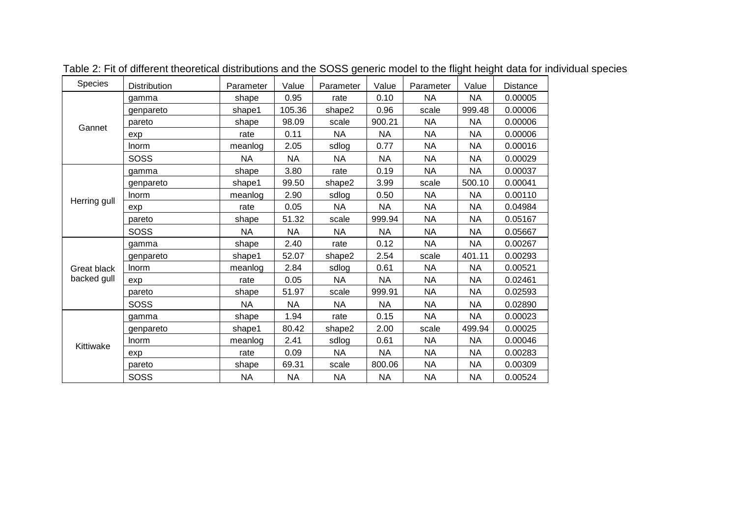| Species            | Distribution | Parameter | Value     | Parameter | Value     | Parameter | Value     | <b>Distance</b> |
|--------------------|--------------|-----------|-----------|-----------|-----------|-----------|-----------|-----------------|
|                    | gamma        | shape     | 0.95      | rate      | 0.10      | <b>NA</b> | <b>NA</b> | 0.00005         |
|                    | genpareto    | shape1    | 105.36    | shape2    | 0.96      | scale     | 999.48    | 0.00006         |
| Gannet             | pareto       | shape     | 98.09     | scale     | 900.21    | <b>NA</b> | NA        | 0.00006         |
|                    | exp          | rate      | 0.11      | <b>NA</b> | <b>NA</b> | <b>NA</b> | <b>NA</b> | 0.00006         |
|                    | Inorm        | meanlog   | 2.05      | sdlog     | 0.77      | <b>NA</b> | <b>NA</b> | 0.00016         |
|                    | SOSS         | <b>NA</b> | <b>NA</b> | <b>NA</b> | <b>NA</b> | <b>NA</b> | <b>NA</b> | 0.00029         |
|                    | gamma        | shape     | 3.80      | rate      | 0.19      | <b>NA</b> | <b>NA</b> | 0.00037         |
|                    | genpareto    | shape1    | 99.50     | shape2    | 3.99      | scale     | 500.10    | 0.00041         |
| Herring gull       | <b>Inorm</b> | meanlog   | 2.90      | sdlog     | 0.50      | <b>NA</b> | <b>NA</b> | 0.00110         |
|                    | exp          | rate      | 0.05      | <b>NA</b> | <b>NA</b> | <b>NA</b> | <b>NA</b> | 0.04984         |
|                    | pareto       | shape     | 51.32     | scale     | 999.94    | <b>NA</b> | NA        | 0.05167         |
|                    | <b>SOSS</b>  | <b>NA</b> | <b>NA</b> | <b>NA</b> | <b>NA</b> | <b>NA</b> | <b>NA</b> | 0.05667         |
|                    | qamma        | shape     | 2.40      | rate      | 0.12      | <b>NA</b> | <b>NA</b> | 0.00267         |
|                    | genpareto    | shape1    | 52.07     | shape2    | 2.54      | scale     | 401.11    | 0.00293         |
| <b>Great black</b> | <b>Inorm</b> | meanlog   | 2.84      | sdlog     | 0.61      | <b>NA</b> | NA        | 0.00521         |
| backed gull        | exp          | rate      | 0.05      | <b>NA</b> | <b>NA</b> | <b>NA</b> | NA        | 0.02461         |
|                    | pareto       | shape     | 51.97     | scale     | 999.91    | <b>NA</b> | NA        | 0.02593         |
|                    | <b>SOSS</b>  | <b>NA</b> | <b>NA</b> | <b>NA</b> | <b>NA</b> | <b>NA</b> | ΝA        | 0.02890         |
|                    | aamma        | shape     | 1.94      | rate      | 0.15      | <b>NA</b> | <b>NA</b> | 0.00023         |
|                    | genpareto    | shape1    | 80.42     | shape2    | 2.00      | scale     | 499.94    | 0.00025         |
| Kittiwake          | <b>Inorm</b> | meanlog   | 2.41      | sdlog     | 0.61      | <b>NA</b> | <b>NA</b> | 0.00046         |
|                    | exp          | rate      | 0.09      | <b>NA</b> | <b>NA</b> | <b>NA</b> | NА        | 0.00283         |
|                    | pareto       | shape     | 69.31     | scale     | 800.06    | <b>NA</b> | <b>NA</b> | 0.00309         |
|                    | SOSS         | NА        | <b>NA</b> | <b>NA</b> | <b>NA</b> | <b>NA</b> | <b>NA</b> | 0.00524         |

Table 2: Fit of different theoretical distributions and the SOSS generic model to the flight height data for individual species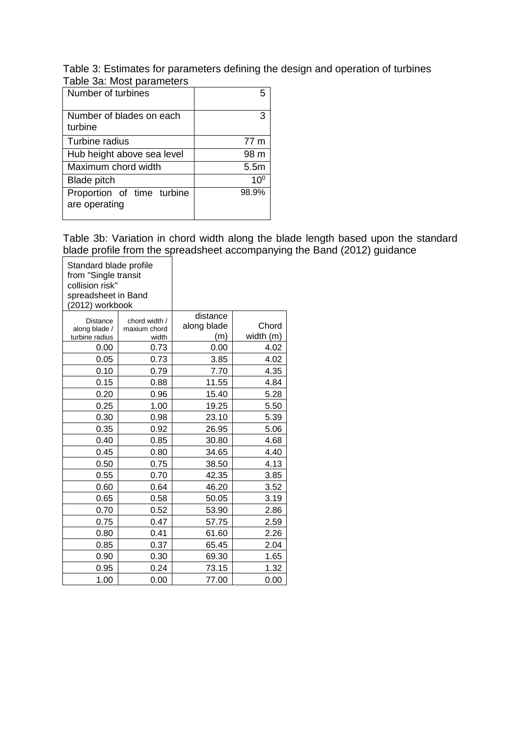Table 3: Estimates for parameters defining the design and operation of turbines Table 3a: Most parameters

| Number of turbines                          | 5             |
|---------------------------------------------|---------------|
| Number of blades on each<br>turbine         | З             |
| Turbine radius                              | 77 m          |
| Hub height above sea level                  | 98 m          |
| Maximum chord width                         | 5.5m          |
| <b>Blade pitch</b>                          | 10 $^{\circ}$ |
| Proportion of time turbine<br>are operating | 98.9%         |

Table 3b: Variation in chord width along the blade length based upon the standard blade profile from the spreadsheet accompanying the Band (2012) guidance

| Standard blade profile<br>from "Single transit<br>collision risk"<br>spreadsheet in Band<br>(2012) workbook |               |             |           |
|-------------------------------------------------------------------------------------------------------------|---------------|-------------|-----------|
| <b>Distance</b>                                                                                             | chord width / | distance    |           |
| along blade /                                                                                               | maxium chord  | along blade | Chord     |
| turbine radius                                                                                              | width         | (m)         | width (m) |
| 0.00                                                                                                        | 0.73          | 0.00        | 4.02      |
| 0.05                                                                                                        | 0.73          | 3.85        | 4.02      |
| 0.10                                                                                                        | 0.79          | 7.70        | 4.35      |
| 0.15                                                                                                        | 0.88          | 11.55       | 4.84      |
| 0.20                                                                                                        | 0.96          | 15.40       | 5.28      |
| 0.25                                                                                                        | 1.00          | 19.25       | 5.50      |
| 0.30                                                                                                        | 0.98          | 23.10       | 5.39      |
| 0.35                                                                                                        | 0.92          | 26.95       | 5.06      |
| 0.40                                                                                                        | 0.85          | 30.80       | 4.68      |
| 0.45                                                                                                        | 0.80          | 34.65       | 4.40      |
| 0.50                                                                                                        | 0.75          | 38.50       | 4.13      |
| 0.55                                                                                                        | 0.70          | 42.35       | 3.85      |
| 0.60                                                                                                        | 0.64          | 46.20       | 3.52      |
| 0.65                                                                                                        | 0.58          | 50.05       | 3.19      |
| 0.70                                                                                                        | 0.52          | 53.90       | 2.86      |
| 0.75                                                                                                        | 0.47          | 57.75       | 2.59      |
| 0.80                                                                                                        | 0.41          | 61.60       | 2.26      |
| 0.85                                                                                                        | 0.37          | 65.45       | 2.04      |
| 0.90                                                                                                        | 0.30          | 69.30       | 1.65      |
| 0.95                                                                                                        | 0.24          | 73.15       | 1.32      |
| 1.00                                                                                                        | 0.00          | 77.00       | 0.00      |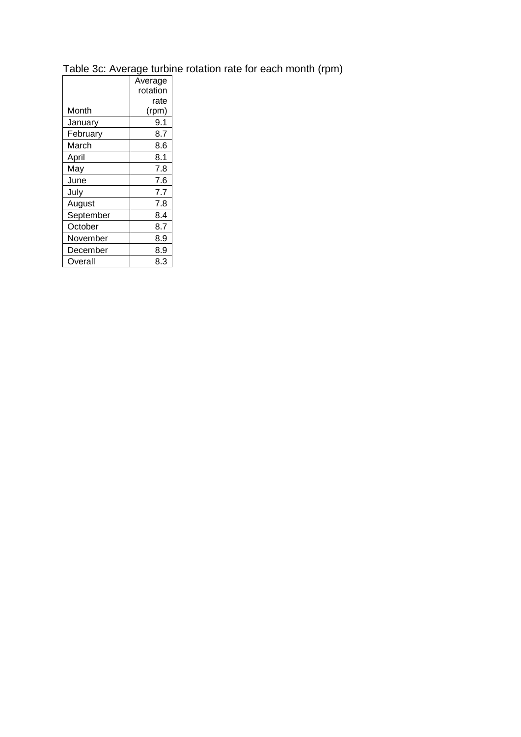## Table 3c: Average turbine rotation rate for each month (rpm)

|           | Average  |
|-----------|----------|
|           | rotation |
|           | rate     |
| Month     | (rpm)    |
| January   | 9.1      |
| February  | 8.7      |
| March     | 8.6      |
| April     | 8.1      |
| May       | 7.8      |
| June      | 7.6      |
| July      | 7.7      |
| August    | 7.8      |
| September | 8.4      |
| October   | 8.7      |
| November  | 8.9      |
| December  | 8.9      |
| Overall   | 8.3      |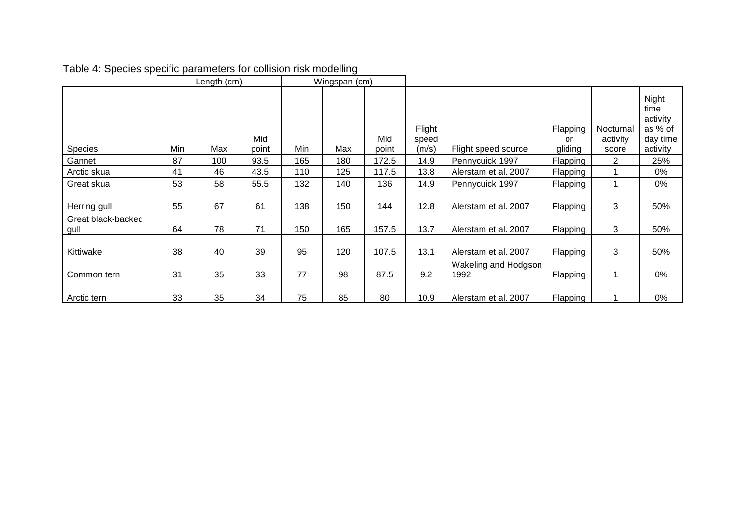|                            |     | Length (cm) |              |     | Wingspan (cm) |              |                          |                              |                           |                                |                                                              |
|----------------------------|-----|-------------|--------------|-----|---------------|--------------|--------------------------|------------------------------|---------------------------|--------------------------------|--------------------------------------------------------------|
| <b>Species</b>             | Min | Max         | Mid<br>point | Min | Max           | Mid<br>point | Flight<br>speed<br>(m/s) | Flight speed source          | Flapping<br>or<br>gliding | Nocturnal<br>activity<br>score | Night<br>time<br>activity<br>as % of<br>day time<br>activity |
| Gannet                     | 87  | 100         | 93.5         | 165 | 180           | 172.5        | 14.9                     | Pennycuick 1997              | Flapping                  | 2                              | 25%                                                          |
| Arctic skua                | 41  | 46          | 43.5         | 110 | 125           | 117.5        | 13.8                     | Alerstam et al. 2007         | Flapping                  |                                | 0%                                                           |
| Great skua                 | 53  | 58          | 55.5         | 132 | 140           | 136          | 14.9                     | Pennycuick 1997              | Flapping                  |                                | 0%                                                           |
| Herring gull               | 55  | 67          | 61           | 138 | 150           | 144          | 12.8                     | Alerstam et al. 2007         | Flapping                  | 3                              | 50%                                                          |
| Great black-backed<br>gull | 64  | 78          | 71           | 150 | 165           | 157.5        | 13.7                     | Alerstam et al. 2007         | Flapping                  | 3                              | 50%                                                          |
| Kittiwake                  | 38  | 40          | 39           | 95  | 120           | 107.5        | 13.1                     | Alerstam et al. 2007         | Flapping                  | 3                              | 50%                                                          |
| Common tern                | 31  | 35          | 33           | 77  | 98            | 87.5         | 9.2                      | Wakeling and Hodgson<br>1992 | Flapping                  |                                | 0%                                                           |
| Arctic tern                | 33  | 35          | 34           | 75  | 85            | 80           | 10.9                     | Alerstam et al. 2007         | Flapping                  |                                | 0%                                                           |

# Table 4: Species specific parameters for collision risk modelling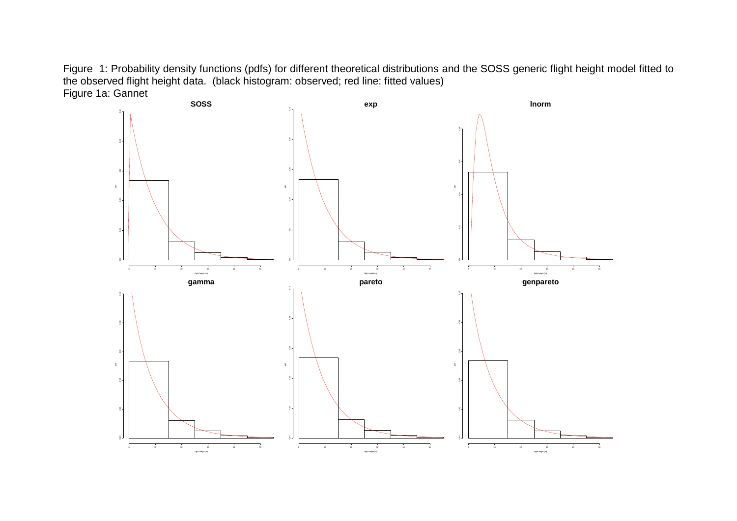Figure 1: Probability density functions (pdfs) for different theoretical distributions and the SOSS generic flight height model fitted to the observed flight height data. (black histogram: observed; red line: fitted values) Figure 1a: Gannet

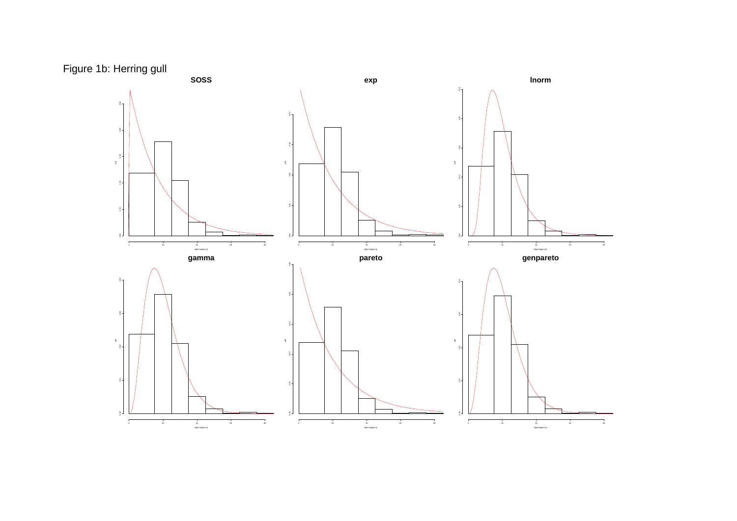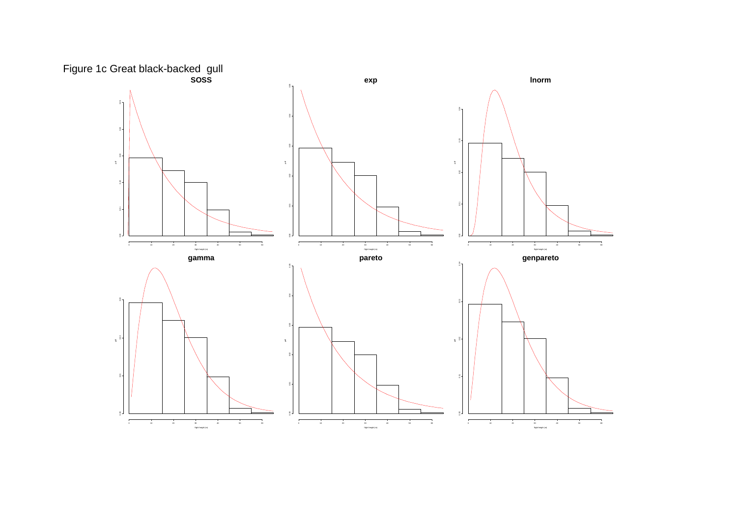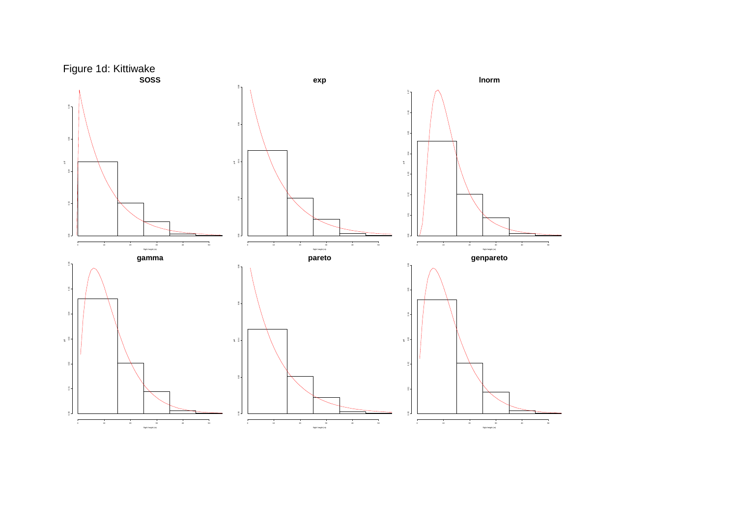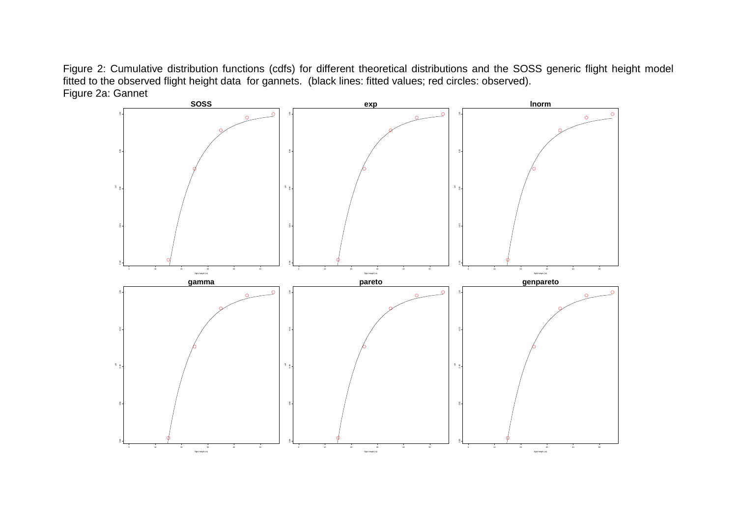Figure 2: Cumulative distribution functions (cdfs) for different theoretical distributions and the SOSS generic flight height model fitted to the observed flight height data for gannets. (black lines: fitted values; red circles: observed). Figure 2a: Gannet

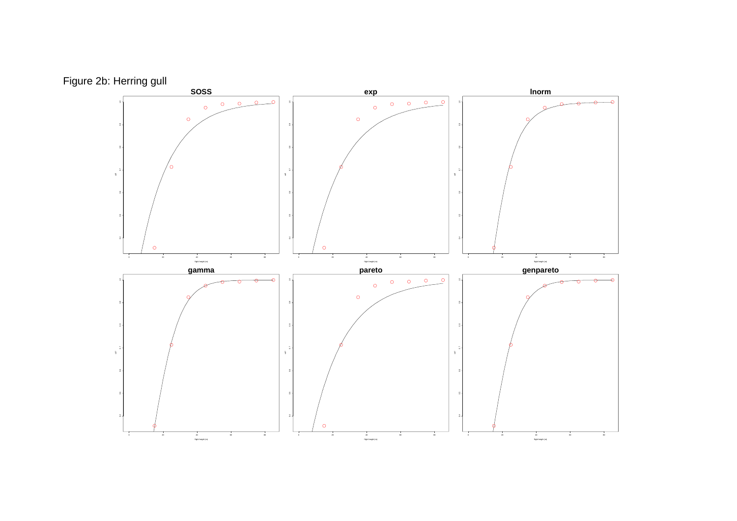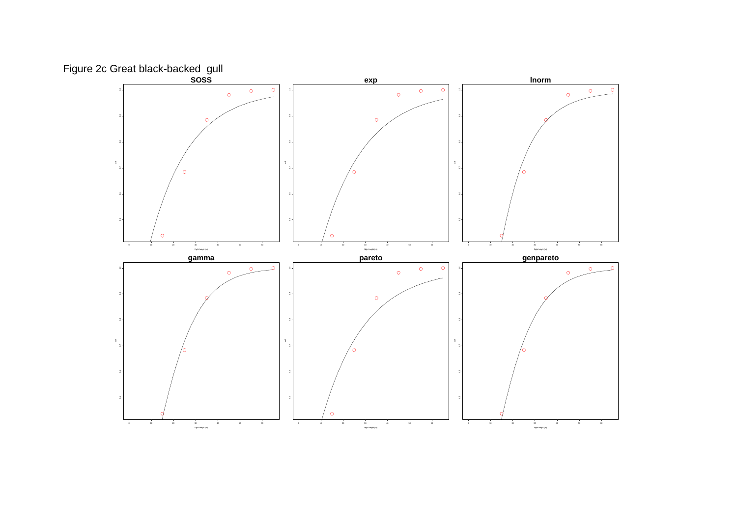